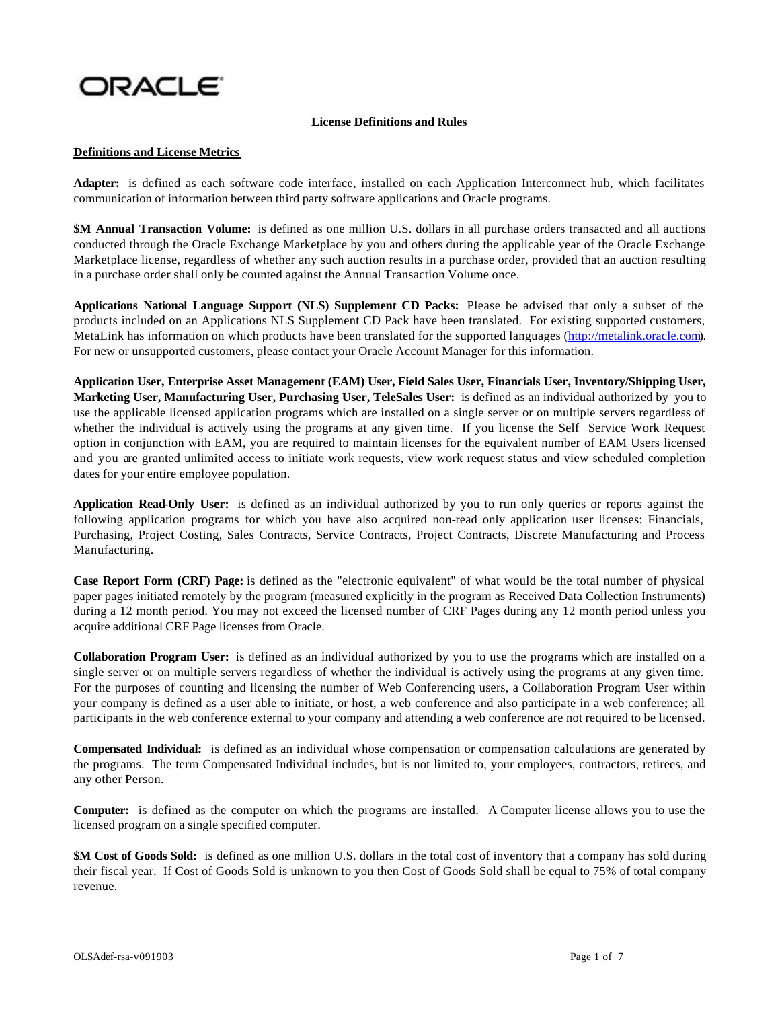# ORACLE

#### **License Definitions and Rules**

#### **Definitions and License Metrics**

**Adapter:** is defined as each software code interface, installed on each Application Interconnect hub, which facilitates communication of information between third party software applications and Oracle programs.

**\$M Annual Transaction Volume:** is defined as one million U.S. dollars in all purchase orders transacted and all auctions conducted through the Oracle Exchange Marketplace by you and others during the applicable year of the Oracle Exchange Marketplace license, regardless of whether any such auction results in a purchase order, provided that an auction resulting in a purchase order shall only be counted against the Annual Transaction Volume once.

**Applications National Language Support (NLS) Supplement CD Packs:** Please be advised that only a subset of the products included on an Applications NLS Supplement CD Pack have been translated. For existing supported customers, MetaLink has information on which products have been translated for the supported languages (http://metalink.oracle.com). For new or unsupported customers, please contact your Oracle Account Manager for this information.

**Application User, Enterprise Asset Management (EAM) User, Field Sales User, Financials User, Inventory/Shipping User, Marketing User, Manufacturing User, Purchasing User, TeleSales User:** is defined as an individual authorized by you to use the applicable licensed application programs which are installed on a single server or on multiple servers regardless of whether the individual is actively using the programs at any given time. If you license the Self Service Work Request option in conjunction with EAM, you are required to maintain licenses for the equivalent number of EAM Users licensed and you are granted unlimited access to initiate work requests, view work request status and view scheduled completion dates for your entire employee population.

**Application Read-Only User:** is defined as an individual authorized by you to run only queries or reports against the following application programs for which you have also acquired non-read only application user licenses: Financials, Purchasing, Project Costing, Sales Contracts, Service Contracts, Project Contracts, Discrete Manufacturing and Process Manufacturing.

**Case Report Form (CRF) Page:** is defined as the "electronic equivalent" of what would be the total number of physical paper pages initiated remotely by the program (measured explicitly in the program as Received Data Collection Instruments) during a 12 month period. You may not exceed the licensed number of CRF Pages during any 12 month period unless you acquire additional CRF Page licenses from Oracle.

**Collaboration Program User:** is defined as an individual authorized by you to use the programs which are installed on a single server or on multiple servers regardless of whether the individual is actively using the programs at any given time. For the purposes of counting and licensing the number of Web Conferencing users, a Collaboration Program User within your company is defined as a user able to initiate, or host, a web conference and also participate in a web conference; all participants in the web conference external to your company and attending a web conference are not required to be licensed.

**Compensated Individual:** is defined as an individual whose compensation or compensation calculations are generated by the programs. The term Compensated Individual includes, but is not limited to, your employees, contractors, retirees, and any other Person.

**Computer:** is defined as the computer on which the programs are installed. A Computer license allows you to use the licensed program on a single specified computer.

**\$M Cost of Goods Sold:** is defined as one million U.S. dollars in the total cost of inventory that a company has sold during their fiscal year. If Cost of Goods Sold is unknown to you then Cost of Goods Sold shall be equal to 75% of total company revenue.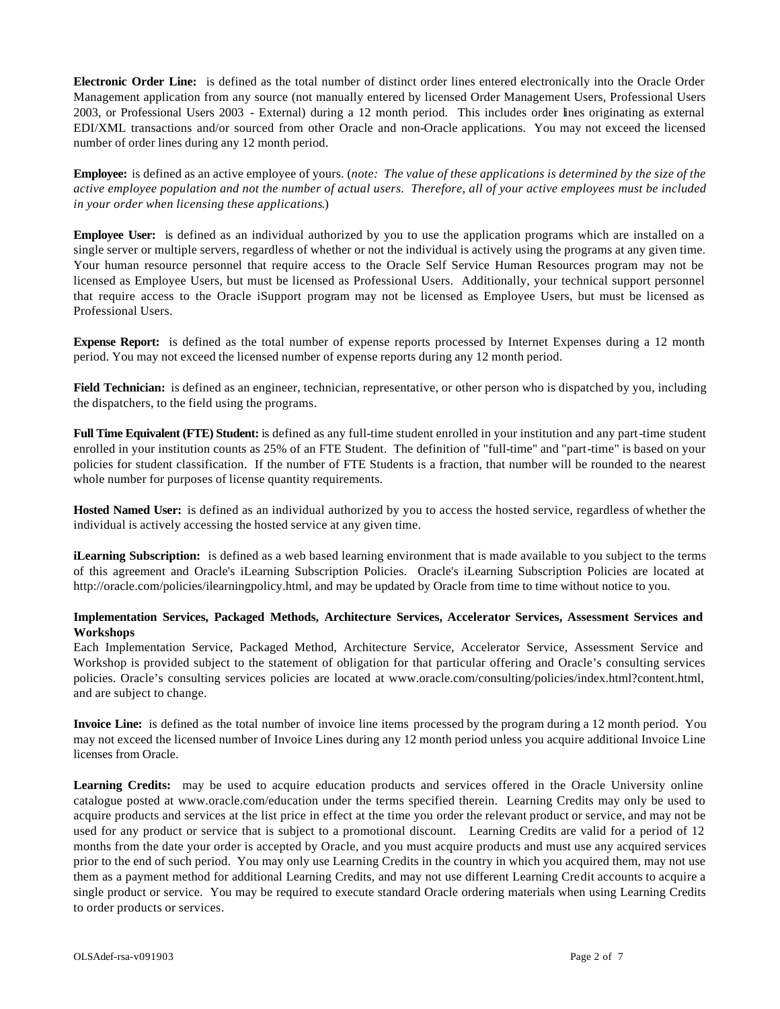**Electronic Order Line:** is defined as the total number of distinct order lines entered electronically into the Oracle Order Management application from any source (not manually entered by licensed Order Management Users, Professional Users 2003, or Professional Users 2003 - External) during a 12 month period. This includes order lines originating as external EDI/XML transactions and/or sourced from other Oracle and non-Oracle applications. You may not exceed the licensed number of order lines during any 12 month period.

**Employee:** is defined as an active employee of yours. (*note: The value of these applications is determined by the size of the active employee population and not the number of actual users. Therefore, all of your active employees must be included in your order when licensing these applications*.)

**Employee User:** is defined as an individual authorized by you to use the application programs which are installed on a single server or multiple servers, regardless of whether or not the individual is actively using the programs at any given time. Your human resource personnel that require access to the Oracle Self Service Human Resources program may not be licensed as Employee Users, but must be licensed as Professional Users. Additionally, your technical support personnel that require access to the Oracle iSupport program may not be licensed as Employee Users, but must be licensed as Professional Users.

**Expense Report:** is defined as the total number of expense reports processed by Internet Expenses during a 12 month period. You may not exceed the licensed number of expense reports during any 12 month period.

**Field Technician:** is defined as an engineer, technician, representative, or other person who is dispatched by you, including the dispatchers, to the field using the programs.

**Full Time Equivalent (FTE) Student:** is defined as any full-time student enrolled in your institution and any part-time student enrolled in your institution counts as 25% of an FTE Student. The definition of "full-time" and "part-time" is based on your policies for student classification. If the number of FTE Students is a fraction, that number will be rounded to the nearest whole number for purposes of license quantity requirements.

**Hosted Named User:** is defined as an individual authorized by you to access the hosted service, regardless of whether the individual is actively accessing the hosted service at any given time.

**iLearning Subscription:** is defined as a web based learning environment that is made available to you subject to the terms of this agreement and Oracle's iLearning Subscription Policies. Oracle's iLearning Subscription Policies are located at http://oracle.com/policies/ilearningpolicy.html, and may be updated by Oracle from time to time without notice to you.

### **Implementation Services, Packaged Methods, Architecture Services, Accelerator Services, Assessment Services and Workshops**

Each Implementation Service, Packaged Method, Architecture Service, Accelerator Service, Assessment Service and Workshop is provided subject to the statement of obligation for that particular offering and Oracle's consulting services policies. Oracle's consulting services policies are located at www.oracle.com/consulting/policies/index.html?content.html, and are subject to change.

**Invoice Line:** is defined as the total number of invoice line items processed by the program during a 12 month period. You may not exceed the licensed number of Invoice Lines during any 12 month period unless you acquire additional Invoice Line licenses from Oracle.

**Learning Credits:** may be used to acquire education products and services offered in the Oracle University online catalogue posted at www.oracle.com/education under the terms specified therein. Learning Credits may only be used to acquire products and services at the list price in effect at the time you order the relevant product or service, and may not be used for any product or service that is subject to a promotional discount. Learning Credits are valid for a period of 12 months from the date your order is accepted by Oracle, and you must acquire products and must use any acquired services prior to the end of such period. You may only use Learning Credits in the country in which you acquired them, may not use them as a payment method for additional Learning Credits, and may not use different Learning Credit accounts to acquire a single product or service. You may be required to execute standard Oracle ordering materials when using Learning Credits to order products or services.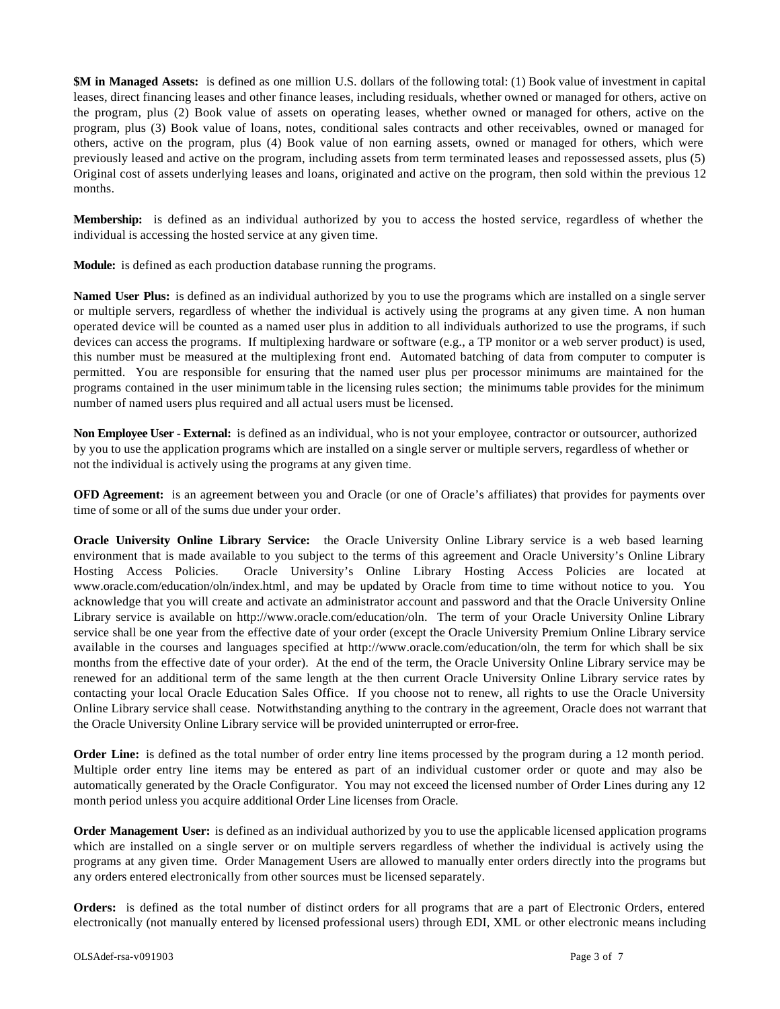**\$M in Managed Assets:** is defined as one million U.S. dollars of the following total: (1) Book value of investment in capital leases, direct financing leases and other finance leases, including residuals, whether owned or managed for others, active on the program, plus (2) Book value of assets on operating leases, whether owned or managed for others, active on the program, plus (3) Book value of loans, notes, conditional sales contracts and other receivables, owned or managed for others, active on the program, plus (4) Book value of non earning assets, owned or managed for others, which were previously leased and active on the program, including assets from term terminated leases and repossessed assets, plus (5) Original cost of assets underlying leases and loans, originated and active on the program, then sold within the previous 12 months.

**Membership:** is defined as an individual authorized by you to access the hosted service, regardless of whether the individual is accessing the hosted service at any given time.

**Module:** is defined as each production database running the programs.

**Named User Plus:** is defined as an individual authorized by you to use the programs which are installed on a single server or multiple servers, regardless of whether the individual is actively using the programs at any given time. A non human operated device will be counted as a named user plus in addition to all individuals authorized to use the programs, if such devices can access the programs. If multiplexing hardware or software (e.g., a TP monitor or a web server product) is used, this number must be measured at the multiplexing front end. Automated batching of data from computer to computer is permitted. You are responsible for ensuring that the named user plus per processor minimums are maintained for the programs contained in the user minimum table in the licensing rules section; the minimums table provides for the minimum number of named users plus required and all actual users must be licensed.

**Non Employee User - External:** is defined as an individual, who is not your employee, contractor or outsourcer, authorized by you to use the application programs which are installed on a single server or multiple servers, regardless of whether or not the individual is actively using the programs at any given time.

**OFD Agreement:** is an agreement between you and Oracle (or one of Oracle's affiliates) that provides for payments over time of some or all of the sums due under your order.

**Oracle University Online Library Service:** the Oracle University Online Library service is a web based learning environment that is made available to you subject to the terms of this agreement and Oracle University's Online Library Hosting Access Policies. Oracle University's Online Library Hosting Access Policies are located at www.oracle.com/education/oln/index.html, and may be updated by Oracle from time to time without notice to you. You acknowledge that you will create and activate an administrator account and password and that the Oracle University Online Library service is available on http://www.oracle.com/education/oln. The term of your Oracle University Online Library service shall be one year from the effective date of your order (except the Oracle University Premium Online Library service available in the courses and languages specified at http://www.oracle.com/education/oln, the term for which shall be six months from the effective date of your order). At the end of the term, the Oracle University Online Library service may be renewed for an additional term of the same length at the then current Oracle University Online Library service rates by contacting your local Oracle Education Sales Office. If you choose not to renew, all rights to use the Oracle University Online Library service shall cease. Notwithstanding anything to the contrary in the agreement, Oracle does not warrant that the Oracle University Online Library service will be provided uninterrupted or error-free.

**Order Line:** is defined as the total number of order entry line items processed by the program during a 12 month period. Multiple order entry line items may be entered as part of an individual customer order or quote and may also be automatically generated by the Oracle Configurator. You may not exceed the licensed number of Order Lines during any 12 month period unless you acquire additional Order Line licenses from Oracle.

**Order Management User:** is defined as an individual authorized by you to use the applicable licensed application programs which are installed on a single server or on multiple servers regardless of whether the individual is actively using the programs at any given time. Order Management Users are allowed to manually enter orders directly into the programs but any orders entered electronically from other sources must be licensed separately.

**Orders:** is defined as the total number of distinct orders for all programs that are a part of Electronic Orders, entered electronically (not manually entered by licensed professional users) through EDI, XML or other electronic means including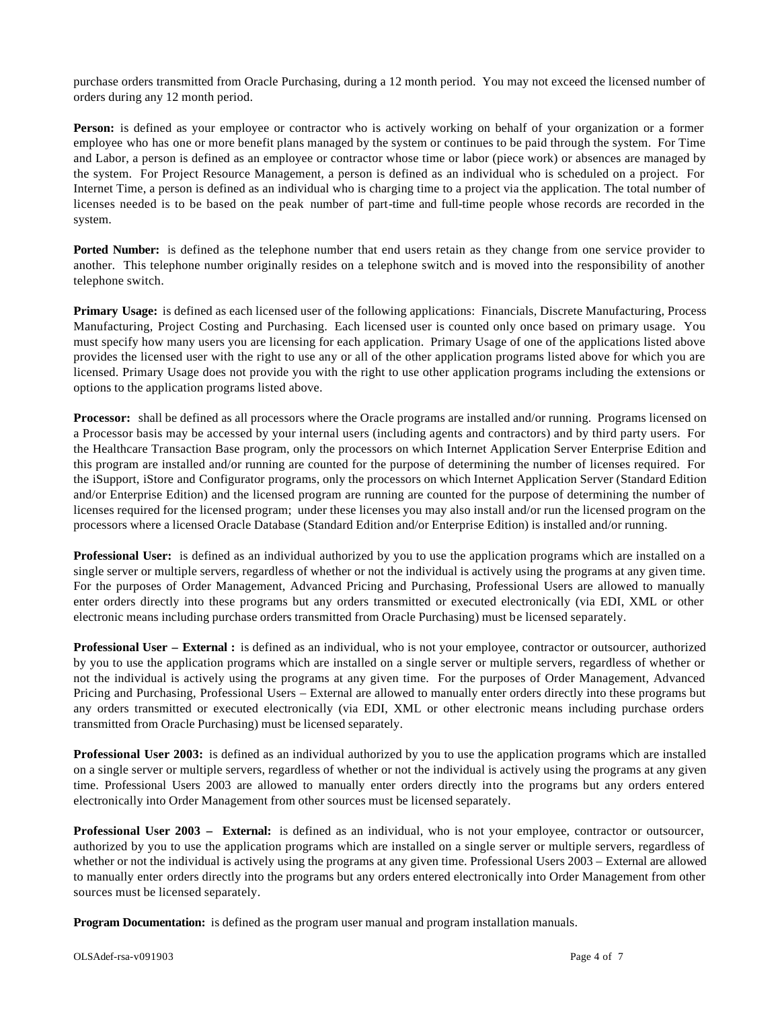purchase orders transmitted from Oracle Purchasing, during a 12 month period. You may not exceed the licensed number of orders during any 12 month period.

**Person:** is defined as your employee or contractor who is actively working on behalf of your organization or a former employee who has one or more benefit plans managed by the system or continues to be paid through the system. For Time and Labor, a person is defined as an employee or contractor whose time or labor (piece work) or absences are managed by the system. For Project Resource Management, a person is defined as an individual who is scheduled on a project. For Internet Time, a person is defined as an individual who is charging time to a project via the application. The total number of licenses needed is to be based on the peak number of part-time and full-time people whose records are recorded in the system.

**Ported Number:** is defined as the telephone number that end users retain as they change from one service provider to another. This telephone number originally resides on a telephone switch and is moved into the responsibility of another telephone switch.

**Primary Usage:** is defined as each licensed user of the following applications: Financials, Discrete Manufacturing, Process Manufacturing, Project Costing and Purchasing. Each licensed user is counted only once based on primary usage. You must specify how many users you are licensing for each application. Primary Usage of one of the applications listed above provides the licensed user with the right to use any or all of the other application programs listed above for which you are licensed. Primary Usage does not provide you with the right to use other application programs including the extensions or options to the application programs listed above.

**Processor:** shall be defined as all processors where the Oracle programs are installed and/or running. Programs licensed on a Processor basis may be accessed by your internal users (including agents and contractors) and by third party users. For the Healthcare Transaction Base program, only the processors on which Internet Application Server Enterprise Edition and this program are installed and/or running are counted for the purpose of determining the number of licenses required. For the iSupport, iStore and Configurator programs, only the processors on which Internet Application Server (Standard Edition and/or Enterprise Edition) and the licensed program are running are counted for the purpose of determining the number of licenses required for the licensed program; under these licenses you may also install and/or run the licensed program on the processors where a licensed Oracle Database (Standard Edition and/or Enterprise Edition) is installed and/or running.

**Professional User:** is defined as an individual authorized by you to use the application programs which are installed on a single server or multiple servers, regardless of whether or not the individual is actively using the programs at any given time. For the purposes of Order Management, Advanced Pricing and Purchasing, Professional Users are allowed to manually enter orders directly into these programs but any orders transmitted or executed electronically (via EDI, XML or other electronic means including purchase orders transmitted from Oracle Purchasing) must be licensed separately.

**Professional User – External :** is defined as an individual, who is not your employee, contractor or outsourcer, authorized by you to use the application programs which are installed on a single server or multiple servers, regardless of whether or not the individual is actively using the programs at any given time. For the purposes of Order Management, Advanced Pricing and Purchasing, Professional Users – External are allowed to manually enter orders directly into these programs but any orders transmitted or executed electronically (via EDI, XML or other electronic means including purchase orders transmitted from Oracle Purchasing) must be licensed separately.

**Professional User 2003:** is defined as an individual authorized by you to use the application programs which are installed on a single server or multiple servers, regardless of whether or not the individual is actively using the programs at any given time. Professional Users 2003 are allowed to manually enter orders directly into the programs but any orders entered electronically into Order Management from other sources must be licensed separately.

**Professional User 2003 – External:** is defined as an individual, who is not your employee, contractor or outsourcer, authorized by you to use the application programs which are installed on a single server or multiple servers, regardless of whether or not the individual is actively using the programs at any given time. Professional Users 2003 – External are allowed to manually enter orders directly into the programs but any orders entered electronically into Order Management from other sources must be licensed separately.

**Program Documentation:** is defined as the program user manual and program installation manuals.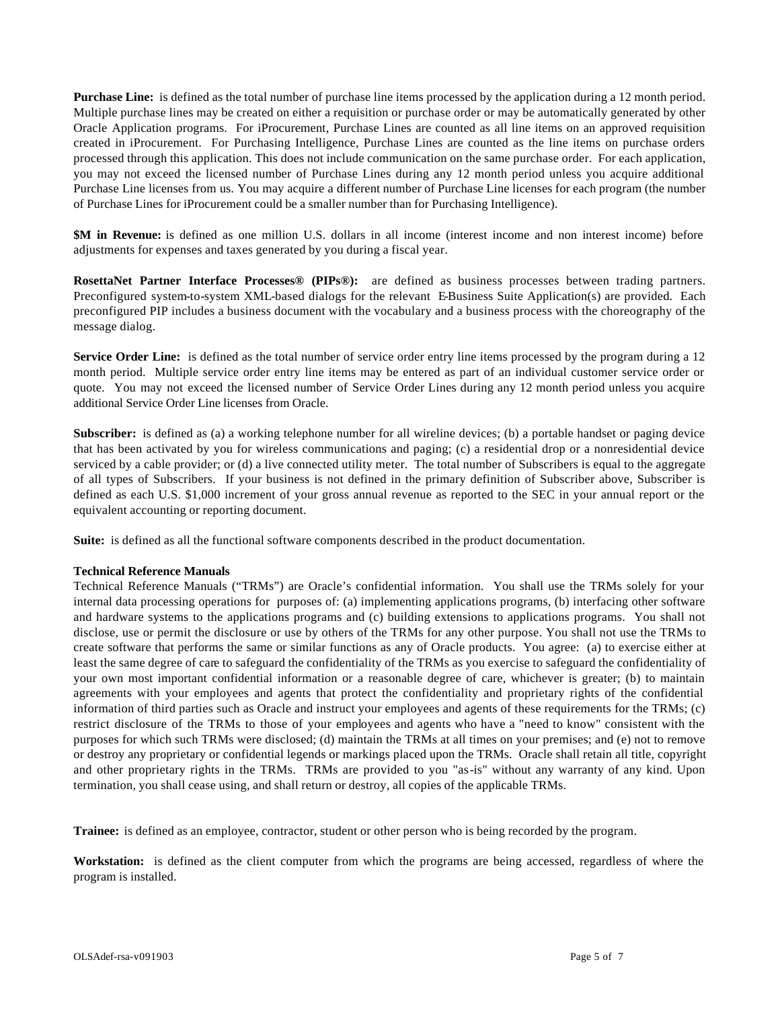**Purchase Line:** is defined as the total number of purchase line items processed by the application during a 12 month period. Multiple purchase lines may be created on either a requisition or purchase order or may be automatically generated by other Oracle Application programs. For iProcurement, Purchase Lines are counted as all line items on an approved requisition created in iProcurement. For Purchasing Intelligence, Purchase Lines are counted as the line items on purchase orders processed through this application. This does not include communication on the same purchase order. For each application, you may not exceed the licensed number of Purchase Lines during any 12 month period unless you acquire additional Purchase Line licenses from us. You may acquire a different number of Purchase Line licenses for each program (the number of Purchase Lines for iProcurement could be a smaller number than for Purchasing Intelligence).

**\$M in Revenue:** is defined as one million U.S. dollars in all income (interest income and non interest income) before adjustments for expenses and taxes generated by you during a fiscal year.

**RosettaNet Partner Interface Processes® (PIPs®):** are defined as business processes between trading partners. Preconfigured system-to-system XML-based dialogs for the relevant E-Business Suite Application(s) are provided. Each preconfigured PIP includes a business document with the vocabulary and a business process with the choreography of the message dialog.

**Service Order Line:** is defined as the total number of service order entry line items processed by the program during a 12 month period. Multiple service order entry line items may be entered as part of an individual customer service order or quote. You may not exceed the licensed number of Service Order Lines during any 12 month period unless you acquire additional Service Order Line licenses from Oracle.

**Subscriber:** is defined as (a) a working telephone number for all wireline devices; (b) a portable handset or paging device that has been activated by you for wireless communications and paging; (c) a residential drop or a nonresidential device serviced by a cable provider; or (d) a live connected utility meter. The total number of Subscribers is equal to the aggregate of all types of Subscribers. If your business is not defined in the primary definition of Subscriber above, Subscriber is defined as each U.S. \$1,000 increment of your gross annual revenue as reported to the SEC in your annual report or the equivalent accounting or reporting document.

**Suite:** is defined as all the functional software components described in the product documentation.

### **Technical Reference Manuals**

Technical Reference Manuals ("TRMs") are Oracle's confidential information. You shall use the TRMs solely for your internal data processing operations for purposes of: (a) implementing applications programs, (b) interfacing other software and hardware systems to the applications programs and (c) building extensions to applications programs. You shall not disclose, use or permit the disclosure or use by others of the TRMs for any other purpose. You shall not use the TRMs to create software that performs the same or similar functions as any of Oracle products. You agree: (a) to exercise either at least the same degree of care to safeguard the confidentiality of the TRMs as you exercise to safeguard the confidentiality of your own most important confidential information or a reasonable degree of care, whichever is greater; (b) to maintain agreements with your employees and agents that protect the confidentiality and proprietary rights of the confidential information of third parties such as Oracle and instruct your employees and agents of these requirements for the TRMs; (c) restrict disclosure of the TRMs to those of your employees and agents who have a "need to know" consistent with the purposes for which such TRMs were disclosed; (d) maintain the TRMs at all times on your premises; and (e) not to remove or destroy any proprietary or confidential legends or markings placed upon the TRMs. Oracle shall retain all title, copyright and other proprietary rights in the TRMs. TRMs are provided to you "as-is" without any warranty of any kind. Upon termination, you shall cease using, and shall return or destroy, all copies of the applicable TRMs.

**Trainee:** is defined as an employee, contractor, student or other person who is being recorded by the program.

**Workstation:** is defined as the client computer from which the programs are being accessed, regardless of where the program is installed.